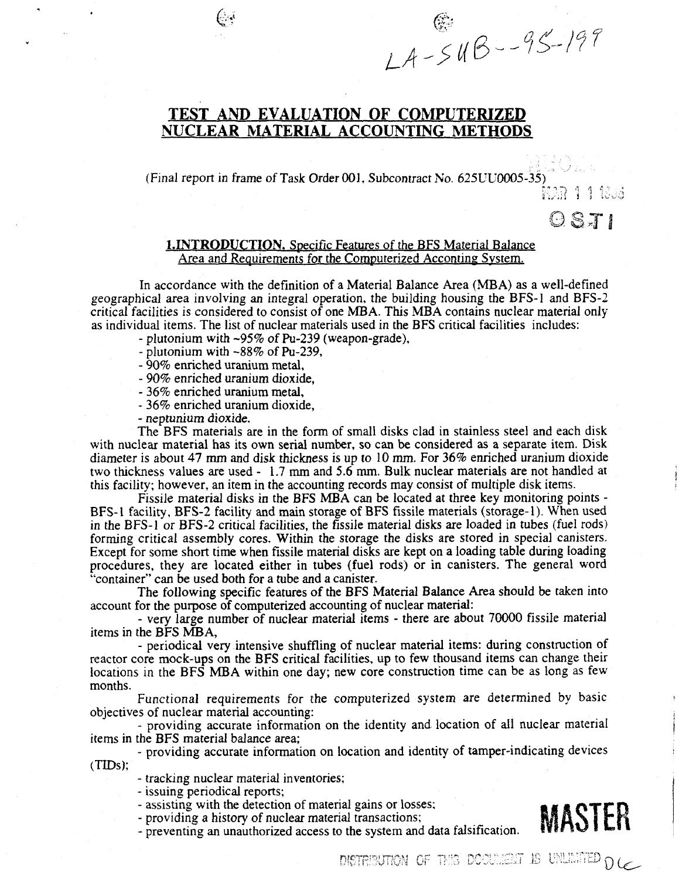# TEST AND EVALUATION OF COMPUTERIZED NUCLEAR MATERIAL ACCOUNTING METHODS

(Final report in frame of Task Order 001, Subcontract No. 625UU0005-35)

tV.H *i* 

 $OSTI$ 

**E**<br>LA-5UB--95-199

# 1.INTRODUCTION. Specific Features of the BFS Material Balance Area and Requirements for the Computerized Acconting System.

In accordance with the definition of a Material Balance Area (MBA) as a well-defined geographical area involving an integral operation, the building housing the BFS-1 and BFS-2 critical facilities is considered to consist of one MBA. This MBA contains nuclear material only as individual items. The list of nuclear materials used in the BFS critical facilities includes:

- plutonium with -95% of Pu-239 (weapon-grade),
- plutonium with -88% of Pu-239,
- 90% enriched uranium metal,

**&** 

- 90% enriched uranium dioxide,
- 36% enriched uranium metal,
- 36% enriched uranium dioxide,
- neptunium dioxide.

The BFS materials are in the form of small disks clad in stainless steel and each disk with nuclear material has its own serial number, so can be considered as a separate item. Disk diameter is about 47 mm and disk thickness is up to 10 mm. For 36% enriched uranium dioxide two thickness values are used - 1.7 mm and 5.6 mm. Bulk nuclear materials are not handled at this facility; however, an item in the accounting records may consist of multiple disk items.

Fissile material disks in the BFS MBA can be located at three key monitoring points - BFS-1 facility, BFS-2 facility and main storage of BFS fissile materials (storage-1). When used in the BFS-1 or BFS-2 critical facilities, the fissile material disks are loaded in tubes (fuel rods) forming critical assembly cores. Within the storage the disks are stored in special canisters. Except for some short time when fissile material disks are kept on a loading table during loading procedures, they are located either in tubes (fuel rods) or in canisters. The general word ''container" can be used both for a tube and a canister.

The following specific features of the BFS Material Balance Area should be taken into account for the purpose of computerized accounting of nuclear material:

- very large number of nuclear material items - there are about 70000 fissile material items in the BFS MBA,

- periodical very intensive shuffling of nuclear material items: during construction of reactor core mock-ups on the BFS critical facilities, up to few thousand items can change their locations in the BFS MBA within one day; new core construction time can be as long as few months.

Functional requirements for the computerized *system are* determined by basic objectives of nuclear material accounting:

- providing accurate information on the identity and location of all nuclear material items in the BFS material balance area;

- providing accurate information on location and identity of tamper-indicating devices (TIDs);

- tracking nuclear material inventories;

- issuing periodical reports;

- assisting with the detection of material gains or losses;

- providing a history of nuclear material transactions;

- preventing an unauthorized access to the system and data falsification.



 $D$ ISTRIBUTION OF THIS DOCUMENT IS UNLIMITED  $D$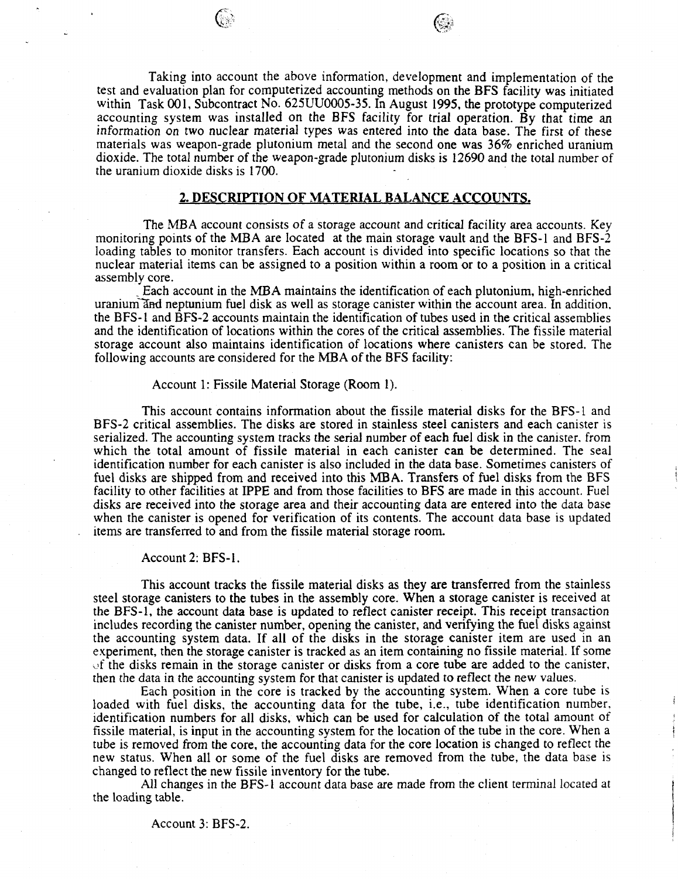# **2. DESCRIPTION OF MATERIAL BALANCE ACCOUNTS.**

The MBA account consists of a storage account and critical facility area accounts. Key monitoring points of the MBA are located at the main storage vault and the BFS-1 and BFS-2 loading tables to monitor transfers. Each account is divided into specific locations so that the nuclear material items can be assigned to a position within a room or to a position in a critical assembly core.

. Each account in the MBA maintains the identification of each plutonium, high-enriched uranium and neptunium fuel disk as well as storage canister within the account area. In addition, the BFS-1 and BFS-2 accounts maintain the identification of tubes used in the critical assemblies and the identification of locations within the cores of the critical assemblies. The fissile material storage account also maintains identification of locations where canisters can be stored. The following accounts are considered for the MBA of the BFS facility:

### Account 1: Fissile Material Storage (Room 1).

This account contains information about the fissile material disks for the BFS-1 and BFS-2 critical assemblies. The disks are stored in stainless steel canisters and each canister is serialized. The accounting system tracks the serial number of each fuel disk in the canister, from which the total amount of fissile material in each canister can be determined. The seal identification number for each canister is also included in the data base. Sometimes canisters of fuel disks are shipped from and received into this MBA. Transfers of fuel disks from the BFS facility to other facilities at IPPE and from those facilities to BFS are made in this account. Fuel disks are received into the storage area and their accounting data are entered into the data base when the canister is opened for verification of its contents. The account data base is updated items are transferred to and from the fissile material storage room.

### Account 2: BFS-1.

This account tracks the fissile material disks as they are transferred from the stainless steel storage canisters to the tubes in the assembly core. When a storage canister is received at the BFS-1, the account data base is updated to reflect canister receipt. This receipt transaction includes recording the canister number, opening the canister, and verifying the fuel disks against the accounting system data. If all of the disks in the storage canister item are used in an experiment, then the storage canister is tracked as an item containing no fissile material. If some of the disks remain in the storage canister or disks from a core tube are added to the canister, then the data in the accounting system for that canister is updated to reflect the new values.

Each position in the core is tracked by the accounting system. When a core tube is loaded with fuel disks, the accounting data for the tube, i.e., tube identification number, identification numbers for all disks, which can be used for calculation of the total amount of fissile material, is input in the accounting system for the location of the tube in the core. When a tube is removed from the core, the accounting data for the core location is changed to reflect the new status. When all or some of the fuel disks are removed from the tube, the data base is changed to reflect the new fissile inventory for the tube.

Ĵ

All changes in the BFS-1 account data base are made from the client terminal located at the loading table.

### Account 3: BFS-2.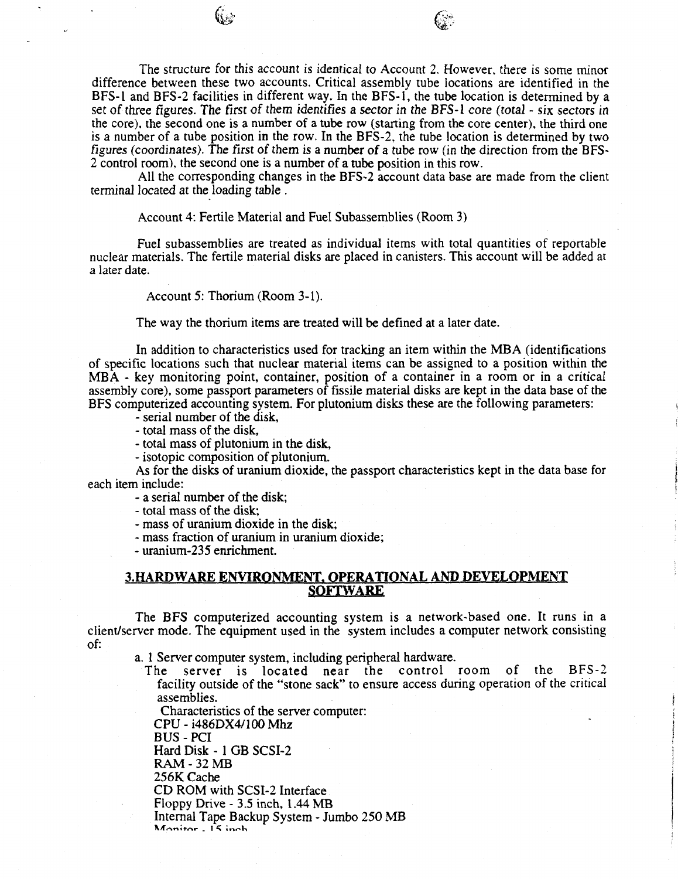The structure for this account is identical to Account 2. However, there is some minor difference between these two accounts. Critical assembly tube locations are identified in the BFS-1 and BFS-2 facilities in different way. In the BFS-1, the tube location is determined by a set of three figures. The first *of* them identifies a sector in the BFS-1 core *(total - six* sectors in the core), the second one is a number of a tube row (starting from the core center), the third one is a number of a tube position in the row. In the BFS-2, the tube location is determined by two figures (coordinates). The first of them is a number of a tube row (in the direction from the BFS-2 control room), the second one is a number of a tube position in this row.

All the corresponding changes in the BFS-2 account data base are made from the client terminal located at the loading table .

Account 4: Fertile Material and Fuel Subassemblies (Room 3)

Fuel subassemblies are treated as individual items with total quantities of reportable nuclear materials. The fertile material disks are placed in canisters. This account will be added at a later date.

Account 5: Thorium (Room 3-1).

The way the thorium items are treated will be defined at a later date.

In addition to characteristics used for tracking an item within the MBA (identifications of specific locations such that nuclear material items can be assigned to a position within the MBA - key monitoring point, container, position of a container in a room or in a critical assembly core), some passport parameters of fissile material disks are kept in the data base of the BFS computerized accounting system. For plutonium disks these are the following parameters:

- serial number of the disk,

- total mass of the disk,

- total mass of plutonium in the disk,

- isotopic composition of plutonium.

As for the disks of uranium dioxide, the passport characteristics kept in the data base for each item include:

- a serial number of the disk;

- total mass of the disk;

- mass of uranium dioxide in the disk;

- mass fraction of uranium in uranium dioxide;

- uranium-235 enrichment.

# **3.HARDWARE ENVIRONMENT. OPERATIONAL AND DEVELOPMENT SOFTWARE**

The BFS computerized accounting system is a network-based one. It runs in a client/server mode. The equipment used in the system includes a computer network consisting of:

a. 1 Server computer system, including peripheral hardware.

The server is located near the control room of the BFS-2 facility outside of the "stone sack" to ensure access during operation of the critical assemblies.

Characteristics of the server computer:

CPU - i486DX4/100 Mhz

BUS - PCI Hard Disk - 1 GB SCSI-2

RAM-32 MB

256K Cache

CD ROM with SCSI-2 Interface

Floppy Drive - 3.5 inch, 1.44 MB

Internal Tape Backup System - Jumbo 250 MB<br>Monitor - 15 inch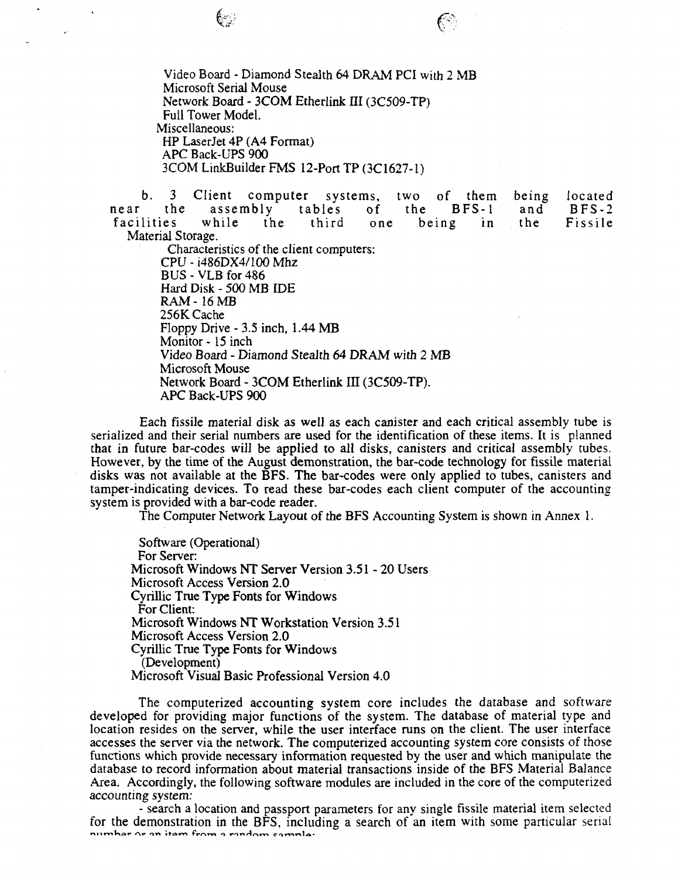Video Board - Diamond Stealth 64 DRAM PCI with 2 MB Microsoft Serial Mouse Network Board - 3COM Etherlink III (3C509-TP) Full Tower Model. Miscellaneous: HP LaserJet 4P (A4 Format) APC Back-UPS 900 3COM LinkBuilder FMS 12-Port TP (3C1627-1)

b. 3 Client computer systems, two of them being located<br>the assembly tables of the BFS-1 and BFS-2 near the assembly tables of the BFS-1 and BFS-2<br>facilities while the third one being in the Fissile facilities while the third one being in the Fissile Material Storage.

Characteristics of the client computers: CPU - i486DX4/100 Mhz BUS-VLB for 486 Hard Disk - 500 MB IDE RAM- 16MB 256K Cache Floppy Drive - 3.5 inch, 1.44 MB Monitor - 15 inch Video Board - Diamond Stealth 64 DRAM with 2 MB Microsoft Mouse Network Board - 3COM Etherlink ffl (3C509-TP). APC Back-UPS 900

Each fissile material disk as well as each canister and each critical assembly tube is serialized and their serial numbers are used for the identification of these items. It is planned that in future bar-codes will be applied to all disks, canisters and critical assembly tubes. However, by the time of the August demonstration, the bar-code technology for fissile material disks was not available at the BFS. The bar-codes were only applied to tubes, canisters and tamper-indicating devices. To read these bar-codes each client computer of the accounting system is provided with a bar-code reader.

The Computer Network Layout of the BFS Accounting System is shown in Annex 1.

Software (Operational) For Server: Microsoft Windows NT Server Version 3.51 - 20 Users Microsoft Access Version 2.0 Cyrillic True Type Fonts for Windows For Client: Microsoft Windows NT Workstation Version 3.51 Microsoft Access Version 2.0 Cyrillic True Type Fonts for Windows (Development) Microsoft Visual Basic Professional Version 4.0

The computerized accounting system core includes the database and software developed for providing major functions of the system. The database of material type and location resides on the server, while the user interface runs on the client. The user interface accesses the server via the network. The computerized accounting system core consists of those functions which provide necessary information requested by the user and which manipulate the database to record information about material transactions inside of the BFS Material Balance Area. Accordingly, the following software modules are included in the core of the computerized accounting system:

- search a location and passport parameters for any single fissile material item selected for the demonstration in the BFS, including a search of an item with some particular serial number or an item from a random sample: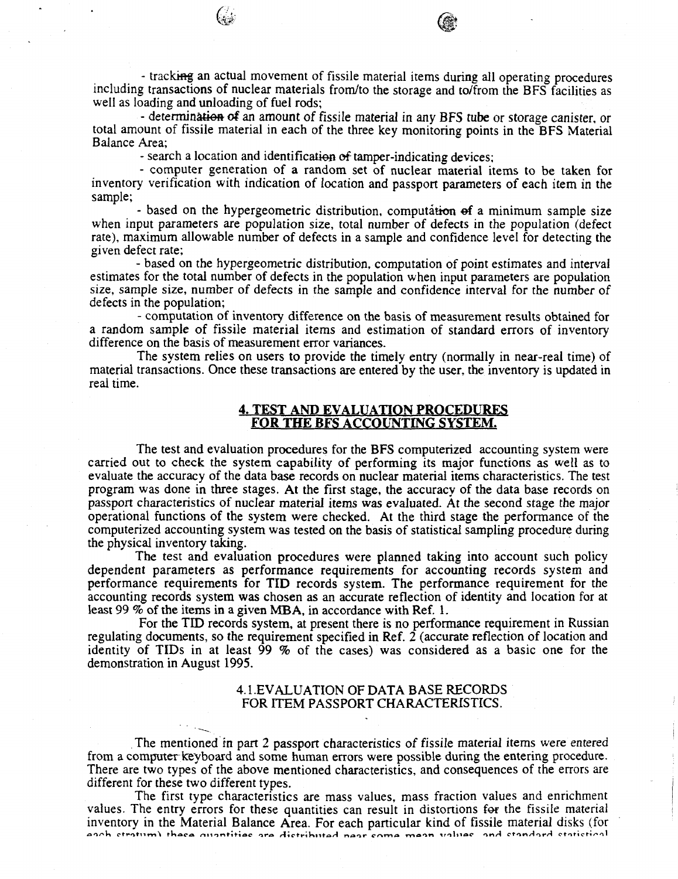- determination of an amount of fissile material in any BFS tube or storage canister, or total amount of fissile material in each of the three key monitoring points in the BFS Material Balance Area;

- search a location and identification of tamper-indicating devices;

- computer generation of a random set of nuclear material items to be taken for inventory verification with indication of location and passport parameters of each item in the sample;

- based on the hypergeometric distribution, computation of a minimum sample size when input parameters are population size, total number of defects in the population (defect rate), maximum allowable number of defects in a sample and confidence level for detecting the given defect rate;

- based on the hypergeometric distribution, computation of point estimates and interval estimates for the total number of defects in the population when input parameters are population size, sample size, number of defects in the sample and confidence interval for the number of defects in the population;

- computation of inventory difference on the basis of measurement results obtained for a random sample of fissile material items and estimation of standard errors of inventory difference on the basis of measurement error variances.

The system relies on users to provide the timely entry (normally in near-real time) of material transactions. Once these transactions are entered by the user, the inventory is updated in real time.

# **4. TEST AND EVALUATION PROCEDURES FOR THE BFS ACCOUNTING SYSTEM.**

The test and evaluation procedures for the BFS computerized accounting system were carried out to check the system capability of performing its major functions as well as to evaluate the accuracy of the data base records on nuclear material items characteristics. The test program was done in three stages. At the first stage, the accuracy of the data base records on passport characteristics of nuclear material items was evaluated. At the second stage the major operational functions of the system were checked. At the third stage the performance of the computerized accounting system was tested on the basis of statistical sampling procedure during the physical inventory taking.

The test and evaluation procedures were planned taking into account such policy dependent parameters as performance requirements for accounting records system and performance requirements for TID records system. The performance requirement for the accounting records system was chosen as an accurate reflection of identity and location for at least 99 % of the items in a given MBA, in accordance with Ref. 1.

For the TID records system, at present there is no performance requirement in Russian regulating documents, so the requirement specified in Ref. 2 (accurate reflection of location and identity of TIDs in at least 99 % of the cases) was considered as a basic one for the demonstration in August 1995.

# 4.1.EVALUATION OF DATA BASE RECORDS FOR ITEM PASSPORT CHARACTERISTICS.

The mentioned in part 2 passport characteristics of fissile material items were entered from a computer keyboard and some human errors were possible during the entering procedure. There are two types of the above mentioned characteristics, and consequences of the errors are different for these two different types.

The first type characteristics are mass values, mass fraction values and enrichment values. The entry errors for these quantities can result in distortions for the fissile material inventory in the Material Balance Area. For each particular kind of fissile material disks (for **oi^ K ptfotnm ^ ttiacf l ninntitio c or a** *A\****ctriKn fro/4 r»oot» c\*-\m o \*v»oo n vitno c ntn/4 ctinHoi\* ^ cfrof»cfri/"\*'"»l**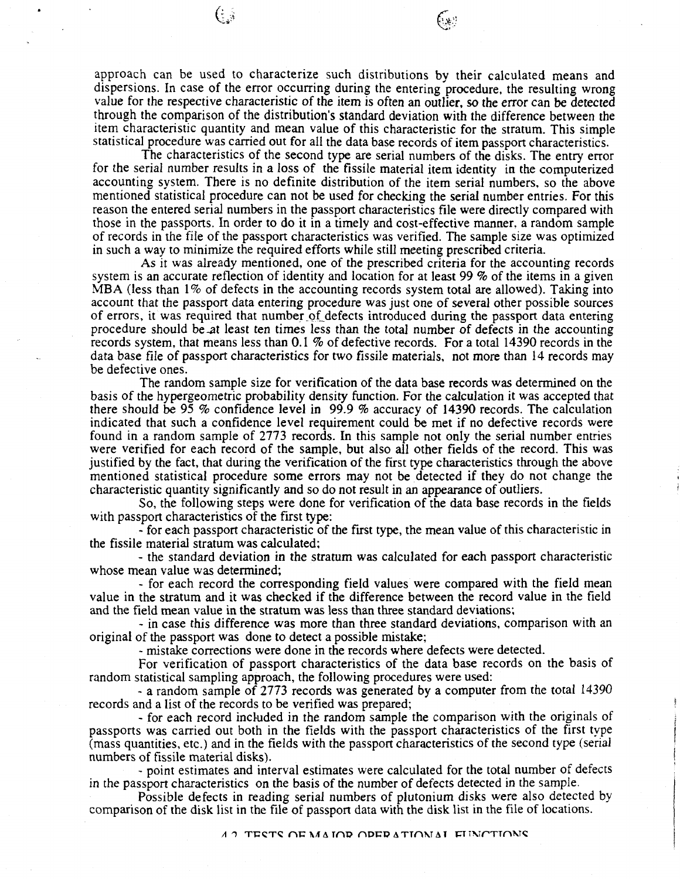approach can be used to characterize such distributions by their calculated means and dispersions. In case of the error occurring during the entering procedure, the resulting wrong value for the respective characteristic of the item is often an outlier, so the error can be detected through the comparison of the distribution's standard deviation with the difference between the item characteristic quantity and mean value of this characteristic for the stratum. This simple statistical procedure was carried out for all the data base records of item passport characteristics.

 $\left(\cdot,\cdot\right)$ 

The characteristics of the second type are serial numbers of the disks. The entry error for the serial number results in a loss of the fissile material item identity in the computerized accounting system. There is no definite distribution of the item serial numbers, so the above mentioned statistical procedure can not be used for checking the serial number entries. For this reason the entered serial numbers in the passport characteristics file were directly compared with those in the passports. In order to do it in a timely and cost-effective manner, a random sample of records in the file of the passport characteristics was verified. The sample size was optimized in such a way to minimize the required efforts while still meeting prescribed criteria.

As it was already mentioned, one of the prescribed criteria for the accounting records system is an accurate reflection of identity and location for at least 99 *%* of the items in a given MBA (less than 1% of defects in the accounting records system total are allowed). Taking into account that the passport data entering procedure was just one of several other possible sources of errors, it was required that number of defects introduced during the passport data entering procedure should be-at least ten times less than the total number of defects in the accounting records system, that means less than 0.1 % of defective records. For a total 14390 records in the data base file of passport characteristics for two fissile materials, not more than 14 records may be defective ones.

The random sample size for verification of the data base records was determined on the basis of the hypergeometric probability density function. For the calculation it was accepted that there should be 95 % confidence level in 99.9 % accuracy of 14390 records. The calculation indicated that such a confidence level requirement could be met if no defective records were found in a random sample of 2773 records. In this sample not only the serial number entries were verified for each record of the sample, but also all other fields of the record. This was justified by the fact, that during the verification of the first type characteristics through the above mentioned statistical procedure some errors may not be detected if they do not change the characteristic quantity significantly and so do not result in an appearance of outliers.

So, the following steps were done for verification of the data base records in the fields with passport characteristics of the first type:

- for each passport characteristic of the first type, the mean value of this characteristic in the fissile material stratum was calculated;

- the standard deviation in the stratum was calculated for each passport characteristic whose mean value was determined;

- for each record the corresponding field values were compared with the field mean value in the stratum and it was checked if the difference between the record value in the field and the field mean value in the stratum was less than three standard deviations;

- in case this difference was more than three standard deviations, comparison with an original of the passport was done to detect a possible mistake;

- mistake corrections were done in the records where defects were detected.

For verification of passport characteristics of the data base records on the basis of random statistical sampling approach, the following procedures were used:

- a random sample of 2773 records was generated by a computer from the total 14390 records and a list of the records to be verified was prepared;

- for each record included in the random sample the comparison with the originals of passports was carried out both in the fields with the passport characteristics of the first type (mass quantities, etc.) and in the fields with the passport characteristics of the second type (serial numbers of fissile material disks).

- point estimates and interval estimates were calculated for the total number of defects in the passport characteristics on the basis of the number of defects detected in the sample.

Possible defects in reading serial numbers of plutonium disks were also detected by comparison of the disk list in the file of passport data with the disk list in the file of locations.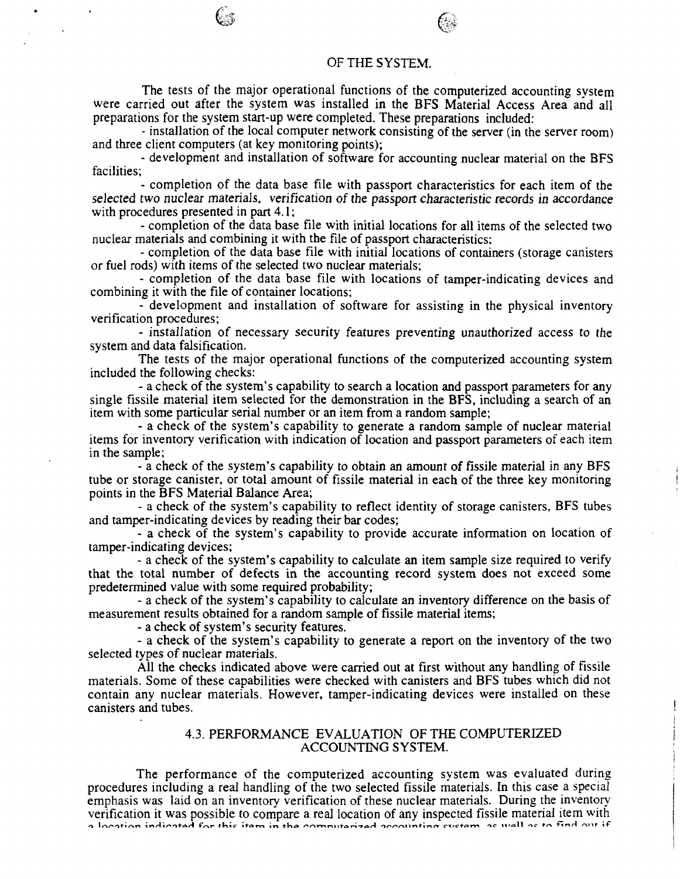### OF THE SYSTEM.

The tests of the major operational functions of the computerized accounting system were carried out after the system was installed in the BFS Material Access Area and all preparations for the system start-up were completed. These preparations included:

- installation of the local computer network consisting of the server (in the server room) and three client computers (at key monitoring points);

- development and installation of software for accounting nuclear material on the BFS facilities;

- completion of the data base file with passport characteristics for each item of the selected two nuclear materials, verification of the passport characteristic records in accordance with procedures presented in part 4.1;

- completion of the data base file with initial locations for all items of the selected two nuclear materials and combining it with the file of passport characteristics;

- completion of the data base file with initial locations of containers (storage canisters or fuel rods) with items of the selected two nuclear materials;

- completion of the data base file with locations of tamper-indicating devices and combining it with the file of container locations;

- development and installation of software for assisting in the physical inventory verification procedures;

- installation of necessary security features preventing unauthorized access to the system and data falsification.

The tests of the major operational functions of the computerized accounting system included the following checks:

- a check of the system's capability to search a location and passport parameters for any single fissile material item selected for the demonstration in the BFS, including a search of an item with some particular serial number or an item from a random sample;

- a check of the system's capability to generate a random sample of nuclear material items for inventory verification with indication of location and passport parameters of each item in the sample;

- a check of the system's capability to obtain an amount of fissile material in any BFS tube or storage canister, or total amount of fissile material in each of the three key monitoring points in the BFS Material Balance Area;

- a check of the system's capability to reflect identity of storage canisters, BFS tubes and tamper-indicating devices by reading their bar codes;

- a check of the system's capability to provide accurate information on location of tamper-indicating devices;

- a check of the system's capability to calculate an item sample size required to verify that the total number of defects in the accounting record system does not exceed some predetermined value with some required probability;

- a check of the system's capability to calculate an inventory difference on the basis of measurement results obtained for a random sample of fissile material items;

- a check of system's security features.

- a check of the system's capability to generate a report on the inventory of the two selected types of nuclear materials.

All the checks indicated above were carried out at first without any handling of fissile materials. Some of these capabilities were checked with canisters and BFS tubes which did not contain any nuclear materials. However, tamper-indicating devices were installed on these canisters and tubes.

# 4.3. PERFORMANCE EVALUATION OF THE COMPUTERIZED ACCOUNTING SYSTEM.

The performance of the computerized accounting system was evaluated during procedures including a real handling of the two selected fissile materials. In this case a special emphasis was laid on an inventory verification of these nuclear materials. During the inventory verification it was possible to compare a real location of any inspected fissile material item with<br>a location indicated for this item in the computatized accounting system, as well as to find out if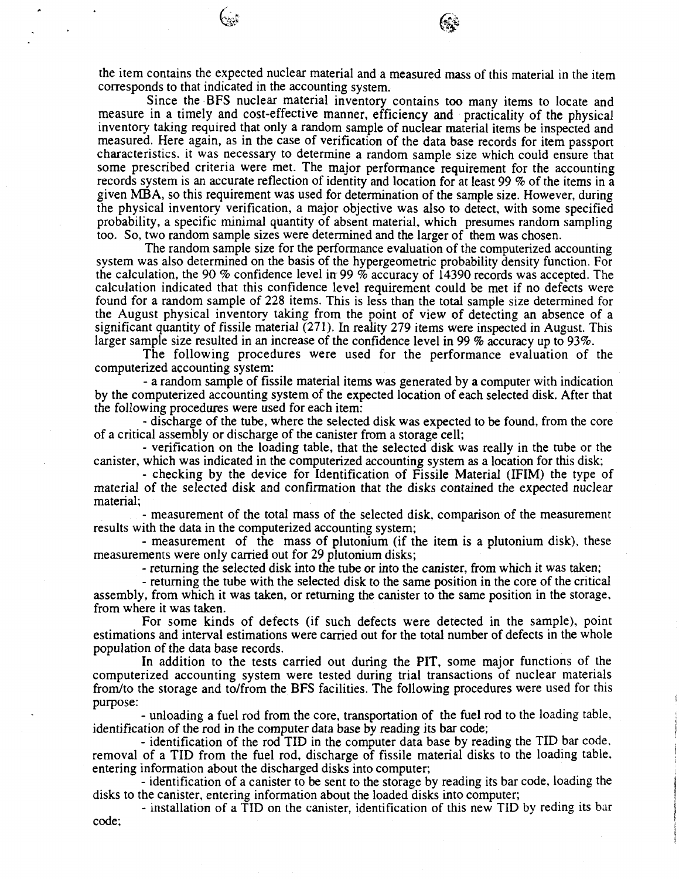the item contains the expected nuclear material and a measured mass of this material in the item corresponds to that indicated in the accounting system.

Since the BFS nuclear material inventory contains too many items to locate and measure in a timely and cost-effective manner, efficiency and practicality of the physical inventory taking required that only a random sample of nuclear material items be inspected and measured. Here again, as in the case of verification of the data base records for item passport characteristics, it was necessary to determine a random sample size which could ensure that some prescribed criteria were met. The major performance requirement for the accounting records system is an accurate reflection of identity and location for at least 99 *%* of the items in a given MBA, so this requirement was used for determination of the sample size. However, during the physical inventory verification, a major objective was also to detect, with some specified probability, a specific minimal quantity of absent material, which presumes random sampling too. So, two random sample sizes were determined and the larger of them was chosen.

The random sample size for the performance evaluation of the computerized accounting system was also determined on the basis of the hypergeometric probability density function. For the calculation, the 90 % confidence level in 99 % accuracy of 14390 records was accepted. The calculation indicated that this confidence level requirement could be met if no defects were found for a random sample of 228 items. This is less than the total sample size determined for the August physical inventory taking from the point of view of detecting an absence of a significant quantity of fissile material (271). In reality 279 items were inspected in August. This larger sample size resulted in an increase of the confidence level in 99 % accuracy up to 93%.

The following procedures were used for the performance evaluation of the computerized accounting system:

- a random sample of fissile material items was generated by a computer with indication by the computerized accounting system of the expected location of each selected disk. After that the following procedures were used for each item:

- discharge of the tube, where the selected disk was expected to be found, from the core of a critical assembly or discharge of the canister from a storage cell;

- verification on the loading table, that the selected disk was really in the tube or the canister, which was indicated in the computerized accounting system as a location for this disk;

- checking by the device for Identification of Fissile Material (IFIM) the type of material of the selected disk and confirmation that the *disks* contained the expected nuclear material;

- measurement of the total mass of the selected disk, comparison of the measurement results with the data in the computerized accounting system;

- measurement of the mass of plutonium (if the item is a plutonium disk), these measurements were only carried out for 29 plutonium disks;

- returning the selected disk into the tube or into the canister, from which it was taken;

- returning the tube with the selected disk to the same position in the core of the critical assembly, from which it was taken, or returning the canister to the same position in the storage, from where it was taken.

For some kinds of defects (if such defects were detected in the sample), point estimations and interval estimations were carried out for the total number of defects in the whole population of the data base records.

In addition to the tests carried out during the PIT, some major functions of the computerized accounting system were tested during trial transactions of nuclear materials from/to the storage and to/from the BFS facilities. The following procedures were used for this purpose:

- unloading a fuel rod from the core, transportation of the fuel rod to the loading table, identification of the rod in the computer data base by reading its bar code;

- identification of the rod TID in the computer data base by reading the TID bar code, removal of a TID from the fuel rod, discharge of fissile material disks to the loading table, entering information about the discharged disks into computer;

- identification of a canister to be sent to the storage by reading its bar code, loading the disks to the canister, entering information about the loaded disks into computer;

- installation of a TID on the canister, identification of this new TID by reding its bar code;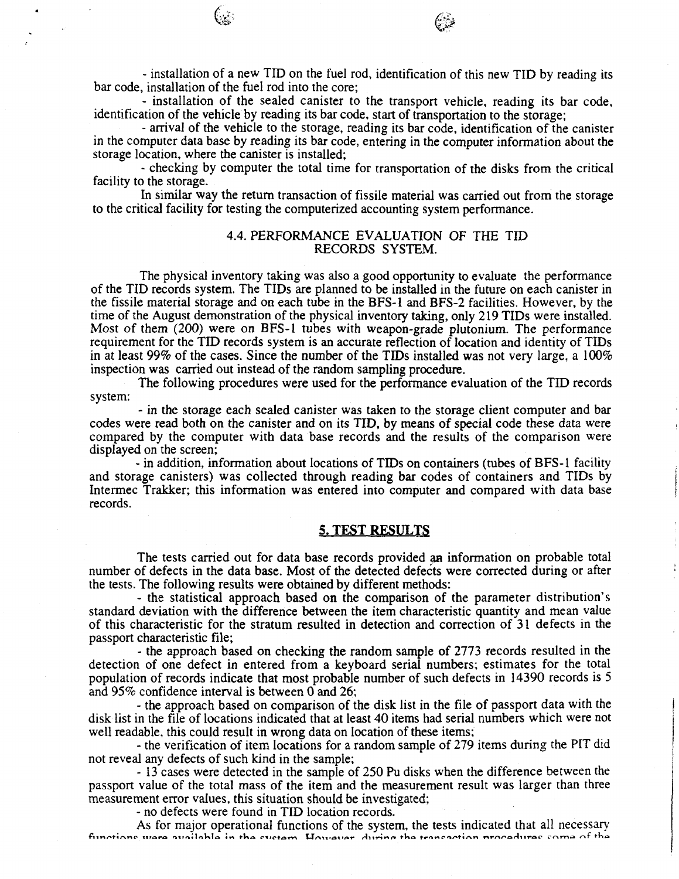- installation of a new TID on the fuel rod, identification of this new TID by reading its bar code, installation of the fuel rod into the core;

- installation of the sealed canister to the transport vehicle, reading its bar code, identification of the vehicle by reading its bar code, start of transportation to the storage;

- arrival of the vehicle to the storage, reading its bar code, identification of the canister in the computer data base by reading its bar code, entering in the computer information about the storage location, where the canister is installed;

- checking by computer the total time for transportation of the disks from the critical facility to the storage.

In similar way the return transaction of fissile material was carried out from the storage to the critical facility for testing the computerized accounting system performance.

# 4.4. PERFORMANCE EVALUATION OF THE TID RECORDS SYSTEM.

The physical inventory taking was also a good opportunity to evaluate the performance of the TID records system. The TIDs are planned to be installed in the future on each canister in the fissile material storage and on each tube in the BFS-1 and BFS-2 facilities. However, by the time of the August demonstration of the physical inventory taking, only 219 TIDs were installed. Most of them (200) were on BFS-1 tubes with weapon-grade plutonium. The performance requirement for the TID records system is an accurate reflection of location and identity of TIDs in at least 99% of the cases. Since the number of the TIDs installed was not very large, a  $100\%$ inspection was carried out instead of the random sampling procedure.

The following procedures were used for the performance evaluation of the TID records system:

- in the storage each sealed canister was taken to the storage client computer and bar codes were read both on the canister and on its TID, by means of special code these data were compared by the computer with data base records and the results of the comparison were displayed on the screen;

- in addition, information about locations of TIDs on containers (tubes of BFS-1 facility and storage canisters) was collected through reading bar codes of containers and TIDs by Intermec Trakker; this information was entered into computer and compared with data base records.

# 5. TEST RESULTS

The tests carried out for data base records provided aa information on probable total number of defects in the data base. Most of the detected defects were corrected during or after the tests. The following results were obtained by different methods:

- the statistical approach based on the comparison of the parameter distribution's standard deviation with the difference between the item characteristic quantity and mean value of this characteristic for the stratum resulted in detection and correction of 31 defects in the passport characteristic file;

- the approach based on checking the random sample of 2773 records resulted in the detection of one defect in entered from a keyboard serial numbers; estimates for the total population of records indicate that most probable number of such defects in 14390 records is 5 and 95% confidence interval is between 0 and 26;

- the approach based on comparison of the disk list in the file of passport data with the disk list in the file of locations indicated that at least 40 items had serial numbers which were not well readable, this could result in wrong data on location of these items;

- the verification of item locations for a random sample of 279 items during the PIT did not reveal any defects of such kind in the sample;

- 13 cases were detected in the sample of 250 Pu disks when the difference between the passport value of the total mass of the item and the measurement result was larger than three measurement error values, this situation should be investigated;

- no defects were found in TID location records.

As for major operational functions of the system, the tests indicated that all necessary<br>functions were available in the system. However, during the transaction procedures some of the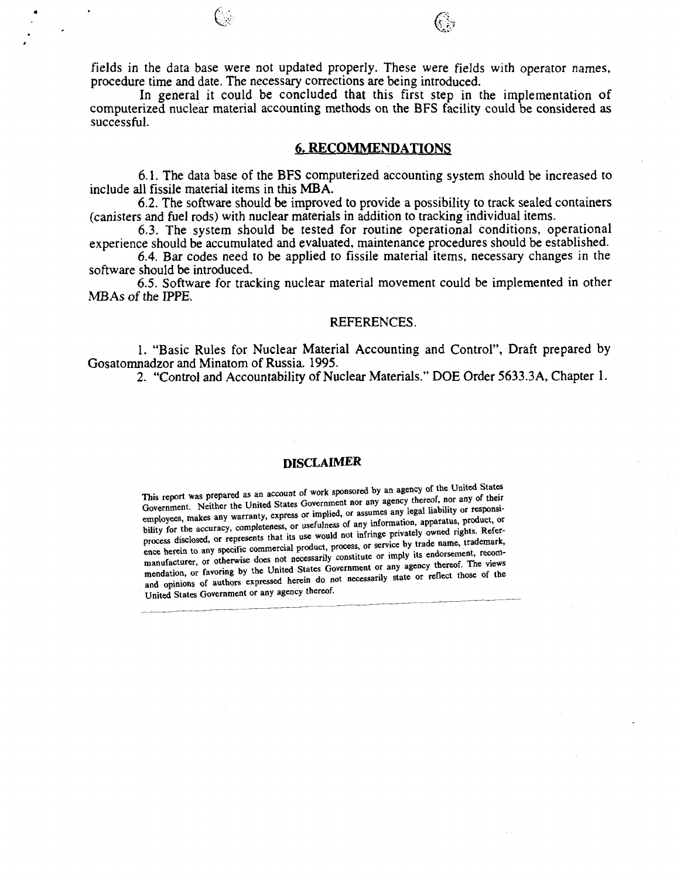fields in the data base were not updated properly. These were fields with operator names, procedure time and date. The necessary corrections are being introduced.

In general it could be concluded that this first step in the implementation of computerized nuclear material accounting methods on the BFS facility could be considered as successful.

# **6. RECOMMENDATIONS**

6.1. The data base of the BFS computerized accounting system should be increased to include all fissile material items in this MBA.

6.2. The software should be improved to provide a possibility to track sealed containers (canisters and fuel rods) with nuclear materials in addition to tracking individual items.

6.3. The system should be tested for routine operational conditions, operational experience should be accumulated and evaluated, maintenance procedures should be established.

6.4. Bar codes need to be applied to fissile material items, necessary changes in the software should be introduced.

6.5. Software for tracking nuclear material movement could be implemented in other MBAs of the IPPE.

### REFERENCES.

1. "Basic Rules for Nuclear Material Accounting and Control", Draft prepared by Gosatomnadzor and Minatom of Russia. 1995.

2. "Control and Accountability of Nuclear Materials." DOE Order 5633.3A, Chapter 1.

# DISCLAIMER

This report was prepared as an account of work sponsored by an agency of the United States Government. Neither the United States Government nor any agency thereof, nor any of their employees, makes any warranty, express or implied, or assumes any legal liability or responsibility for the accuracy, completeness, or usefulness of any information, apparatus, product, or process disclosed, or represents that its use would not infringe privately owned rights. Reference herein to any specific commercial product, process, or service by trade name, trademark, manufacturer, or otherwise does not necessarily constitute or imply its endorsement, recommendation, or favoring by the United States Government or any agency thereof. The views and opinions of authors expressed herein do not necessarily state or reflect those of the United States Government or any agency thereof.